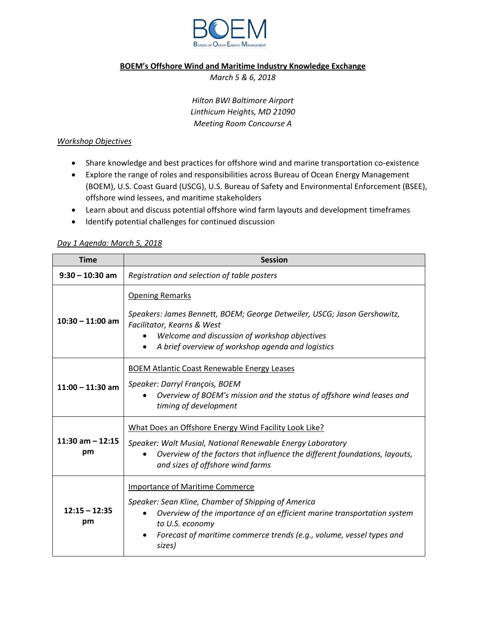

### **BOEM's Offshore Wind and Maritime Industry Knowledge Exchange**

*March 5 & 6, 2018*

*Hilton BWI Baltimore Airport Linthicum Heights, MD 21090 Meeting Room Concourse A*

## *Workshop Objectives*

- Share knowledge and best practices for offshore wind and marine transportation co-existence
- Explore the range of roles and responsibilities across Bureau of Ocean Energy Management (BOEM), U.S. Coast Guard (USCG), U.S. Bureau of Safety and Environmental Enforcement (BSEE), offshore wind lessees, and maritime stakeholders
- Learn about and discuss potential offshore wind farm layouts and development timeframes
- Identify potential challenges for continued discussion

### *Day 1 Agenda: March 5, 2018*

| <b>Time</b>               | <b>Session</b>                                                                                                                                                                                                                                                                             |
|---------------------------|--------------------------------------------------------------------------------------------------------------------------------------------------------------------------------------------------------------------------------------------------------------------------------------------|
| $9:30 - 10:30$ am         | Registration and selection of table posters                                                                                                                                                                                                                                                |
| $10:30 - 11:00$ am        | <b>Opening Remarks</b><br>Speakers: James Bennett, BOEM; George Detweiler, USCG; Jason Gershowitz,<br>Facilitator, Kearns & West<br>Welcome and discussion of workshop objectives<br>$\bullet$<br>A brief overview of workshop agenda and logistics                                        |
| $11:00 - 11:30$ am        | <b>BOEM Atlantic Coast Renewable Energy Leases</b><br>Speaker: Darryl François, BOEM<br>Overview of BOEM's mission and the status of offshore wind leases and<br>timing of development                                                                                                     |
| $11:30$ am $-12:15$<br>pm | What Does an Offshore Energy Wind Facility Look Like?<br>Speaker: Walt Musial, National Renewable Energy Laboratory<br>Overview of the factors that influence the different foundations, layouts,<br>and sizes of offshore wind farms                                                      |
| $12:15 - 12:35$<br>pm     | <b>Importance of Maritime Commerce</b><br>Speaker: Sean Kline, Chamber of Shipping of America<br>Overview of the importance of an efficient marine transportation system<br>$\bullet$<br>to U.S. economy<br>Forecast of maritime commerce trends (e.g., volume, vessel types and<br>sizes) |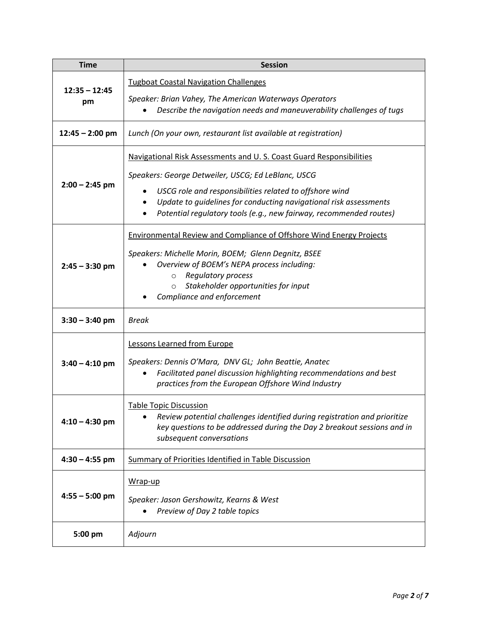| <b>Time</b>           | <b>Session</b>                                                                                                                                                                                                                                                                                           |
|-----------------------|----------------------------------------------------------------------------------------------------------------------------------------------------------------------------------------------------------------------------------------------------------------------------------------------------------|
| $12:35 - 12:45$<br>pm | <b>Tugboat Coastal Navigation Challenges</b>                                                                                                                                                                                                                                                             |
|                       | Speaker: Brian Vahey, The American Waterways Operators<br>Describe the navigation needs and maneuverability challenges of tugs                                                                                                                                                                           |
| $12:45 - 2:00$ pm     | Lunch (On your own, restaurant list available at registration)                                                                                                                                                                                                                                           |
| $2:00 - 2:45$ pm      | Navigational Risk Assessments and U.S. Coast Guard Responsibilities                                                                                                                                                                                                                                      |
|                       | Speakers: George Detweiler, USCG; Ed LeBlanc, USCG<br>USCG role and responsibilities related to offshore wind<br>Update to guidelines for conducting navigational risk assessments<br>Potential regulatory tools (e.g., new fairway, recommended routes)                                                 |
| $2:45 - 3:30$ pm      | <b>Environmental Review and Compliance of Offshore Wind Energy Projects</b><br>Speakers: Michelle Morin, BOEM; Glenn Degnitz, BSEE<br>Overview of BOEM's NEPA process including:<br><b>Regulatory process</b><br>$\circ$<br>Stakeholder opportunities for input<br>$\circ$<br>Compliance and enforcement |
| $3:30 - 3:40$ pm      | <b>Break</b>                                                                                                                                                                                                                                                                                             |
| $3:40 - 4:10$ pm      | Lessons Learned from Europe<br>Speakers: Dennis O'Mara, DNV GL; John Beattie, Anatec<br>Facilitated panel discussion highlighting recommendations and best<br>practices from the European Offshore Wind Industry                                                                                         |
| $4:10 - 4:30$ pm      | <b>Table Topic Discussion</b><br>Review potential challenges identified during registration and prioritize<br>key questions to be addressed during the Day 2 breakout sessions and in<br>subsequent conversations                                                                                        |
| $4:30 - 4:55$ pm      | <b>Summary of Priorities Identified in Table Discussion</b>                                                                                                                                                                                                                                              |
| $4:55 - 5:00$ pm      | Wrap-up<br>Speaker: Jason Gershowitz, Kearns & West<br>Preview of Day 2 table topics                                                                                                                                                                                                                     |
| 5:00 pm               | Adjourn                                                                                                                                                                                                                                                                                                  |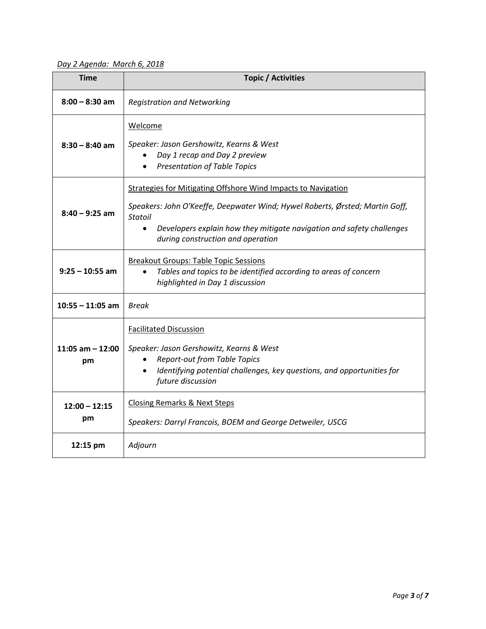*Day 2 Agenda: March 6, 2018*

| <b>Time</b>              | <b>Topic / Activities</b>                                                                                                                                                                                                                                                                         |
|--------------------------|---------------------------------------------------------------------------------------------------------------------------------------------------------------------------------------------------------------------------------------------------------------------------------------------------|
| $8:00 - 8:30$ am         | <b>Registration and Networking</b>                                                                                                                                                                                                                                                                |
| $8:30 - 8:40$ am         | Welcome<br>Speaker: Jason Gershowitz, Kearns & West<br>Day 1 recap and Day 2 preview<br><b>Presentation of Table Topics</b>                                                                                                                                                                       |
| $8:40 - 9:25$ am         | <b>Strategies for Mitigating Offshore Wind Impacts to Navigation</b><br>Speakers: John O'Keeffe, Deepwater Wind; Hywel Roberts, Ørsted; Martin Goff,<br><b>Statoil</b><br>Developers explain how they mitigate navigation and safety challenges<br>$\bullet$<br>during construction and operation |
| $9:25 - 10:55$ am        | <b>Breakout Groups: Table Topic Sessions</b><br>Tables and topics to be identified according to areas of concern<br>$\bullet$<br>highlighted in Day 1 discussion                                                                                                                                  |
| $10:55 - 11:05$ am       | Break                                                                                                                                                                                                                                                                                             |
| 11:05 am $-$ 12:00<br>pm | <b>Facilitated Discussion</b><br>Speaker: Jason Gershowitz, Kearns & West<br><b>Report-out from Table Topics</b><br>$\bullet$<br>Identifying potential challenges, key questions, and opportunities for<br>$\bullet$<br>future discussion                                                         |
| $12:00 - 12:15$<br>pm    | <b>Closing Remarks &amp; Next Steps</b><br>Speakers: Darryl Francois, BOEM and George Detweiler, USCG                                                                                                                                                                                             |
| 12:15 pm                 | Adjourn                                                                                                                                                                                                                                                                                           |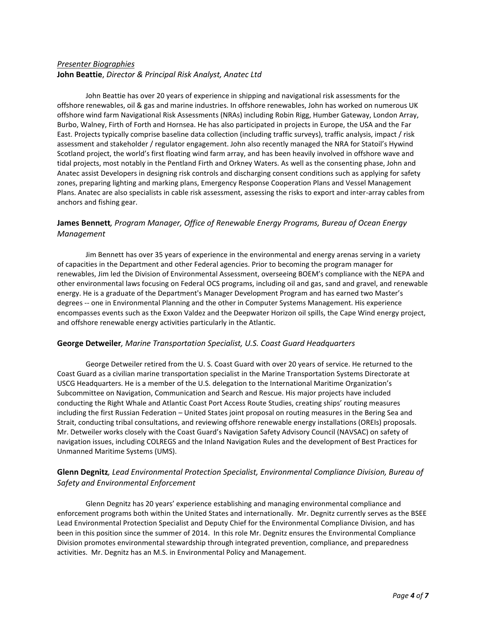# *Presenter Biographies* **John Beattie**, *Director & Principal Risk Analyst, Anatec Ltd*

John Beattie has over 20 years of experience in shipping and navigational risk assessments for the offshore renewables, oil & gas and marine industries. In offshore renewables, John has worked on numerous UK offshore wind farm Navigational Risk Assessments (NRAs) including Robin Rigg, Humber Gateway, London Array, Burbo, Walney, Firth of Forth and Hornsea. He has also participated in projects in Europe, the USA and the Far East. Projects typically comprise baseline data collection (including traffic surveys), traffic analysis, impact / risk assessment and stakeholder / regulator engagement. John also recently managed the NRA for Statoil's Hywind Scotland project, the world's first floating wind farm array, and has been heavily involved in offshore wave and tidal projects, most notably in the Pentland Firth and Orkney Waters. As well as the consenting phase, John and Anatec assist Developers in designing risk controls and discharging consent conditions such as applying for safety zones, preparing lighting and marking plans, Emergency Response Cooperation Plans and Vessel Management Plans. Anatec are also specialists in cable risk assessment, assessing the risks to export and inter-array cables from anchors and fishing gear.

## **James Bennett***, Program Manager, Office of Renewable Energy Programs, Bureau of Ocean Energy Management*

Jim Bennett has over 35 years of experience in the environmental and energy arenas serving in a variety of capacities in the Department and other Federal agencies. Prior to becoming the program manager for renewables, Jim led the Division of Environmental Assessment, overseeing BOEM's compliance with the NEPA and other environmental laws focusing on Federal OCS programs, including oil and gas, sand and gravel, and renewable energy. He is a graduate of the Department's Manager Development Program and has earned two Master's degrees -- one in Environmental Planning and the other in Computer Systems Management. His experience encompasses events such as the Exxon Valdez and the Deepwater Horizon oil spills, the Cape Wind energy project, and offshore renewable energy activities particularly in the Atlantic.

### **George Detweiler***, Marine Transportation Specialist, U.S. Coast Guard Headquarters*

George Detweiler retired from the U. S. Coast Guard with over 20 years of service. He returned to the Coast Guard as a civilian marine transportation specialist in the Marine Transportation Systems Directorate at USCG Headquarters. He is a member of the U.S. delegation to the International Maritime Organization's Subcommittee on Navigation, Communication and Search and Rescue. His major projects have included conducting the Right Whale and Atlantic Coast Port Access Route Studies, creating ships' routing measures including the first Russian Federation – United States joint proposal on routing measures in the Bering Sea and Strait, conducting tribal consultations, and reviewing offshore renewable energy installations (OREIs) proposals. Mr. Detweiler works closely with the Coast Guard's Navigation Safety Advisory Council (NAVSAC) on safety of navigation issues, including COLREGS and the Inland Navigation Rules and the development of Best Practices for Unmanned Maritime Systems (UMS).

# **Glenn Degnitz***, Lead Environmental Protection Specialist, Environmental Compliance Division, Bureau of Safety and Environmental Enforcement*

Glenn Degnitz has 20 years' experience establishing and managing environmental compliance and enforcement programs both within the United States and internationally. Mr. Degnitz currently serves as the BSEE Lead Environmental Protection Specialist and Deputy Chief for the Environmental Compliance Division, and has been in this position since the summer of 2014. In this role Mr. Degnitz ensures the Environmental Compliance Division promotes environmental stewardship through integrated prevention, compliance, and preparedness activities. Mr. Degnitz has an M.S. in Environmental Policy and Management.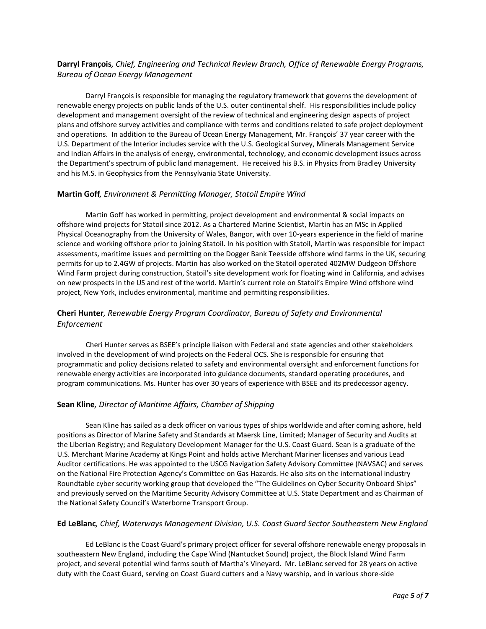# **Darryl François***, Chief, Engineering and Technical Review Branch, Office of Renewable Energy Programs, Bureau of Ocean Energy Management*

Darryl François is responsible for managing the regulatory framework that governs the development of renewable energy projects on public lands of the U.S. outer continental shelf. His responsibilities include policy development and management oversight of the review of technical and engineering design aspects of project plans and offshore survey activities and compliance with terms and conditions related to safe project deployment and operations. In addition to the Bureau of Ocean Energy Management, Mr. François' 37 year career with the U.S. Department of the Interior includes service with the U.S. Geological Survey, Minerals Management Service and Indian Affairs in the analysis of energy, environmental, technology, and economic development issues across the Department's spectrum of public land management. He received his B.S. in Physics from Bradley University and his M.S. in Geophysics from the Pennsylvania State University.

### **Martin Goff***, Environment & Permitting Manager, Statoil Empire Wind*

Martin Goff has worked in permitting, project development and environmental & social impacts on offshore wind projects for Statoil since 2012. As a Chartered Marine Scientist, Martin has an MSc in Applied Physical Oceanography from the University of Wales, Bangor, with over 10-years experience in the field of marine science and working offshore prior to joining Statoil. In his position with Statoil, Martin was responsible for impact assessments, maritime issues and permitting on the Dogger Bank Teesside offshore wind farms in the UK, securing permits for up to 2.4GW of projects. Martin has also worked on the Statoil operated 402MW Dudgeon Offshore Wind Farm project during construction, Statoil's site development work for floating wind in California, and advises on new prospects in the US and rest of the world. Martin's current role on Statoil's Empire Wind offshore wind project, New York, includes environmental, maritime and permitting responsibilities.

## **Cheri Hunter***, Renewable Energy Program Coordinator, Bureau of Safety and Environmental Enforcement*

Cheri Hunter serves as BSEE's principle liaison with Federal and state agencies and other stakeholders involved in the development of wind projects on the Federal OCS. She is responsible for ensuring that programmatic and policy decisions related to safety and environmental oversight and enforcement functions for renewable energy activities are incorporated into guidance documents, standard operating procedures, and program communications. Ms. Hunter has over 30 years of experience with BSEE and its predecessor agency.

## **Sean Kline***, Director of Maritime Affairs, Chamber of Shipping*

Sean Kline has sailed as a deck officer on various types of ships worldwide and after coming ashore, held positions as Director of Marine Safety and Standards at Maersk Line, Limited; Manager of Security and Audits at the Liberian Registry; and Regulatory Development Manager for the U.S. Coast Guard. Sean is a graduate of the U.S. Merchant Marine Academy at Kings Point and holds active Merchant Mariner licenses and various Lead Auditor certifications. He was appointed to the USCG Navigation Safety Advisory Committee (NAVSAC) and serves on the National Fire Protection Agency's Committee on Gas Hazards. He also sits on the international industry Roundtable cyber security working group that developed the "The Guidelines on Cyber Security Onboard Ships" and previously served on the Maritime Security Advisory Committee at U.S. State Department and as Chairman of the National Safety Council's Waterborne Transport Group.

### **Ed LeBlanc***, Chief, Waterways Management Division, U.S. Coast Guard Sector Southeastern New England*

Ed LeBlanc is the Coast Guard's primary project officer for several offshore renewable energy proposals in southeastern New England, including the Cape Wind (Nantucket Sound) project, the Block Island Wind Farm project, and several potential wind farms south of Martha's Vineyard. Mr. LeBlanc served for 28 years on active duty with the Coast Guard, serving on Coast Guard cutters and a Navy warship, and in various shore-side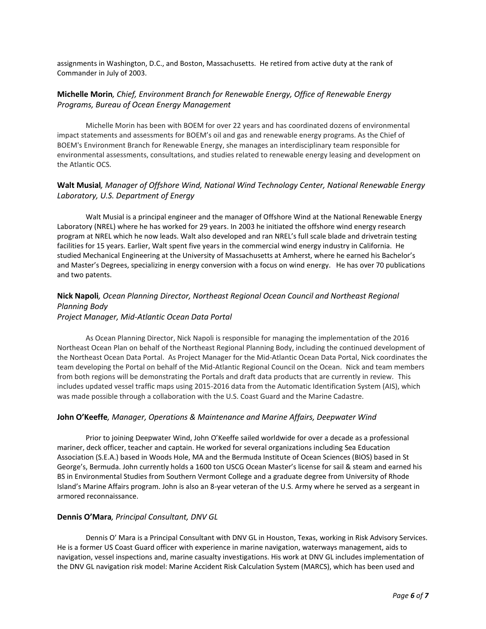assignments in Washington, D.C., and Boston, Massachusetts. He retired from active duty at the rank of Commander in July of 2003.

### **Michelle Morin***, Chief, Environment Branch for Renewable Energy, Office of Renewable Energy Programs, Bureau of Ocean Energy Management*

Michelle Morin has been with BOEM for over 22 years and has coordinated dozens of environmental impact statements and assessments for BOEM's oil and gas and renewable energy programs. As the Chief of BOEM's Environment Branch for Renewable Energy, she manages an interdisciplinary team responsible for environmental assessments, consultations, and studies related to renewable energy leasing and development on the Atlantic OCS.

## **Walt Musial***, Manager of Offshore Wind, National Wind Technology Center, National Renewable Energy Laboratory, U.S. Department of Energy*

Walt Musial is a principal engineer and the manager of Offshore Wind at the National Renewable Energy Laboratory (NREL) where he has worked for 29 years. In 2003 he initiated the offshore wind energy research program at NREL which he now leads. Walt also developed and ran NREL's full scale blade and drivetrain testing facilities for 15 years. Earlier, Walt spent five years in the commercial wind energy industry in California. He studied Mechanical Engineering at the University of Massachusetts at Amherst, where he earned his Bachelor's and Master's Degrees, specializing in energy conversion with a focus on wind energy. He has over 70 publications and two patents.

## **Nick Napoli***, Ocean Planning Director, Northeast Regional Ocean Council and Northeast Regional Planning Body Project Manager, Mid-Atlantic Ocean Data Portal*

As Ocean Planning Director, Nick Napoli is responsible for managing the implementation of the 2016 Northeast Ocean Plan on behalf of the Northeast Regional Planning Body, including the continued development of the Northeast Ocean Data Portal. As Project Manager for the Mid-Atlantic Ocean Data Portal, Nick coordinates the team developing the Portal on behalf of the Mid-Atlantic Regional Council on the Ocean. Nick and team members from both regions will be demonstrating the Portals and draft data products that are currently in review. This includes updated vessel traffic maps using 2015-2016 data from the Automatic Identification System (AIS), which was made possible through a collaboration with the U.S. Coast Guard and the Marine Cadastre.

### **John O'Keeffe***, Manager, Operations & Maintenance and Marine Affairs, Deepwater Wind*

Prior to joining Deepwater Wind, John O'Keeffe sailed worldwide for over a decade as a professional mariner, deck officer, teacher and captain. He worked for several organizations including Sea Education Association (S.E.A.) based in Woods Hole, MA and the Bermuda Institute of Ocean Sciences (BIOS) based in St George's, Bermuda. John currently holds a 1600 ton USCG Ocean Master's license for sail & steam and earned his BS in Environmental Studies from Southern Vermont College and a graduate degree from University of Rhode Island's Marine Affairs program. John is also an 8-year veteran of the U.S. Army where he served as a sergeant in armored reconnaissance.

### **Dennis O'Mara***, Principal Consultant, DNV GL*

Dennis O' Mara is a Principal Consultant with DNV GL in Houston, Texas, working in Risk Advisory Services. He is a former US Coast Guard officer with experience in marine navigation, waterways management, aids to navigation, vessel inspections and, marine casualty investigations. His work at DNV GL includes implementation of the DNV GL navigation risk model: Marine Accident Risk Calculation System (MARCS), which has been used and